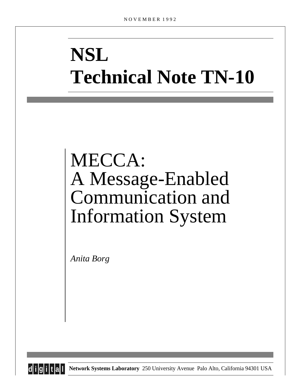# **NSL Technical Note TN-10**

## MECCA: A Message-Enabled Communication and Information System

*Anita Borg*



**d i g i t a l Network Systems Laboratory** 250 University Avenue Palo Alto, California 94301 USA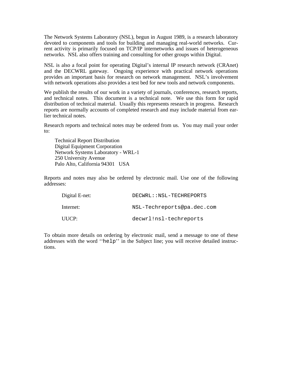The Network Systems Laboratory (NSL), begun in August 1989, is a research laboratory devoted to components and tools for building and managing real-world networks. Current activity is primarily focused on TCP/IP internetworks and issues of heterogeneous networks. NSL also offers training and consulting for other groups within Digital.

NSL is also a focal point for operating Digital's internal IP research network (CRAnet) and the DECWRL gateway. Ongoing experience with practical network operations provides an important basis for research on network management. NSL's involvement with network operations also provides a test bed for new tools and network components.

We publish the results of our work in a variety of journals, conferences, research reports, and technical notes. This document is a technical note. We use this form for rapid distribution of technical material. Usually this represents research in progress. Research reports are normally accounts of completed research and may include material from earlier technical notes.

Research reports and technical notes may be ordered from us. You may mail your order to:

Technical Report Distribution Digital Equipment Corporation Network Systems Laboratory - WRL-1 250 University Avenue Palo Alto, California 94301 USA

Reports and notes may also be ordered by electronic mail. Use one of the following addresses:

| Digital E-net: | DECWRL::NSL-TECHREPORTS    |
|----------------|----------------------------|
| Internet:      | NSL-Techreports@pa.dec.com |
| UUCP:          | decwrl!nsl-techreports     |

To obtain more details on ordering by electronic mail, send a message to one of these addresses with the word ''help'' in the Subject line; you will receive detailed instructions.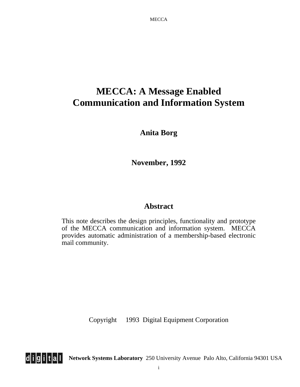## **MECCA: A Message Enabled Communication and Information System**

**Anita Borg**

**November, 1992**

### **Abstract**

This note describes the design principles, functionality and prototype of the MECCA communication and information system. MECCA provides automatic administration of a membership-based electronic mail community.

Copyright 1993 Digital Equipment Corporation



**d i g i t a l Network Systems Laboratory** 250 University Avenue Palo Alto, California 94301 USA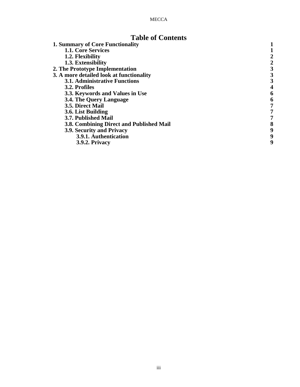## **Table of Contents**

| 3 |
|---|
| 3 |
|   |
| 6 |
| 6 |
|   |
|   |
|   |
| 8 |
| 9 |
| 9 |
| 9 |
|   |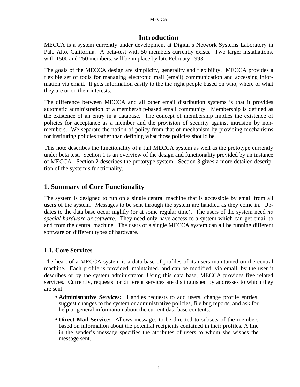#### **Introduction**

MECCA is a system currently under development at Digital's Network Systems Laboratory in Palo Alto, California. A beta-test with 50 members currently exists. Two larger installations, with 1500 and 250 members, will be in place by late February 1993.

The goals of the MECCA design are simplicity, generality and flexibility. MECCA provides a flexible set of tools for managing electronic mail (email) communication and accessing information via email. It gets information easily to the the right people based on who, where or what they are or on their interests.

The difference between MECCA and all other email distribution systems is that it provides automatic administration of a membership-based email community. Membership is defined as the existence of an entry in a database. The concept of membership implies the existence of policies for acceptance as a member and the provision of security against intrusion by nonmembers. We separate the notion of policy from that of mechanism by providing mechanisms for instituting policies rather than defining what those policies should be.

This note describes the functionality of a full MECCA system as well as the prototype currently under beta test. Section 1 is an overview of the design and functionality provided by an instance of MECCA. Section 2 describes the prototype system. Section 3 gives a more detailed description of the system's functionality.

#### **1. Summary of Core Functionality**

The system is designed to run on a single central machine that is accessible by email from all users of the system. Messages to be sent through the system are handled as they come in. Updates to the data base occur nightly (or at some regular time). The users of the system need *no special hardware or software*. They need only have access to a system which can get email to and from the central machine. The users of a single MECCA system can all be running different software on different types of hardware.

#### **1.1. Core Services**

The heart of a MECCA system is a data base of profiles of its users maintained on the central machine. Each profile is provided, maintained, and can be modified, via email, by the user it describes or by the system administrator. Using this data base, MECCA provides five related services. Currently, requests for different services are distinguished by addresses to which they are sent.

- **Administrative Services:** Handles requests to add users, change profile entries, suggest changes to the system or administrative policies, file bug reports, and ask for help or general information about the current data base contents.
- **Direct Mail Service:** Allows messages to be directed to subsets of the members based on information about the potential recipients contained in their profiles. A line in the sender's message specifies the attributes of users to whom she wishes the message sent.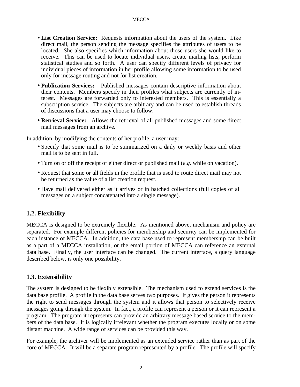- **List Creation Service:** Requests information about the users of the system. Like direct mail, the person sending the message specifies the attributes of users to be located. She also specifies which information about those users she would like to receive. This can be used to locate individual users, create mailing lists, perform statistical studies and so forth. A user can specify different levels of privacy for individual pieces of information in her profile allowing some information to be used only for message routing and not for list creation.
- **Publication Services:** Published messages contain descriptive information about their contents. Members specify in their profiles what subjects are currently of interest. Messages are forwarded only to interested members. This is essentially a subscription service. The subjects are arbitrary and can be used to establish threads of discussions that a user may choose to follow.
- **Retrieval Service:** Allows the retrieval of all published messages and some direct mail messages from an archive.

In addition, by modifying the contents of her profile, a user may:

- Specify that some mail is to be summarized on a daily or weekly basis and other mail is to be sent in full.
- Turn on or off the receipt of either direct or published mail (*e.g.* while on vacation).
- Request that some or all fields in the profile that is used to route direct mail may not be returned as the value of a list creation request.
- Have mail delivered either as it arrives or in batched collections (full copies of all messages on a subject concatenated into a single message).

#### **1.2. Flexibility**

MECCA is designed to be extremely flexible. As mentioned above, mechanism and policy are separated. For example different policies for membership and security can be implemented for each instance of MECCA. In addition, the data base used to represent membership can be built as a part of a MECCA installation, or the email portion of MECCA can reference an external data base. Finally, the user interface can be changed. The current interface, a query language described below, is only one possibility.

#### **1.3. Extensibility**

The system is designed to be flexibly extensible. The mechanism used to extend services is the data base profile. A profile in the data base serves two purposes. It gives the person it represents the right to send messages through the system and it allows that person to selectively receive messages going through the system. In fact, a profile can represent a person or it can represent a program. The program it represents can provide an arbitrary message based service to the members of the data base. It is logically irrelevant whether the program executes locally or on some distant machine. A wide range of services can be provided this way.

For example, the archiver will be implemented as an extended service rather than as part of the core of MECCA. It will be a separate program represented by a profile. The profile will specify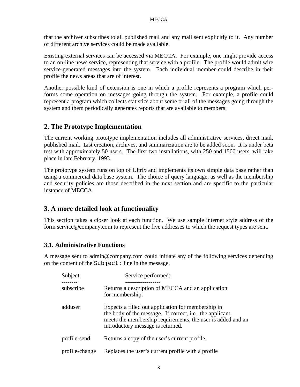that the archiver subscribes to all published mail and any mail sent explicitly to it. Any number of different archive services could be made available.

Existing external services can be accessed via MECCA. For example, one might provide access to an on-line news service, representing that service with a profile. The profile would admit wire service-generated messages into the system. Each individual member could describe in their profile the news areas that are of interest.

Another possible kind of extension is one in which a profile represents a program which performs some operation on messages going through the system. For example, a profile could represent a program which collects statistics about some or all of the messages going through the system and them periodically generates reports that are available to members.

#### **2. The Prototype Implementation**

The current working prototype implementation includes all administrative services, direct mail, published mail. List creation, archives, and summarization are to be added soon. It is under beta test with approximately 50 users. The first two installations, with 250 and 1500 users, will take place in late February, 1993.

The prototype system runs on top of Ultrix and implements its own simple data base rather than using a commercial data base system. The choice of query language, as well as the membership and security policies are those described in the next section and are specific to the particular instance of MECCA.

#### **3. A more detailed look at functionality**

This section takes a closer look at each function. We use sample internet style address of the form service@company.com to represent the five addresses to which the request types are sent.

#### **3.1. Administrative Functions**

A message sent to admin@company.com could initiate any of the following services depending on the content of the Subject: line in the message.

| Subject:       | Service performed:                                                                                                                                                                                                         |
|----------------|----------------------------------------------------------------------------------------------------------------------------------------------------------------------------------------------------------------------------|
| subscribe      | Returns a description of MECCA and an application<br>for membership.                                                                                                                                                       |
| adduser        | Expects a filled out application for membership in<br>the body of the message. If correct, <i>i.e.</i> , the applicant<br>meets the membership requirements, the user is added and an<br>introductory message is returned. |
| profile-send   | Returns a copy of the user's current profile.                                                                                                                                                                              |
| profile-change | Replaces the user's current profile with a profile                                                                                                                                                                         |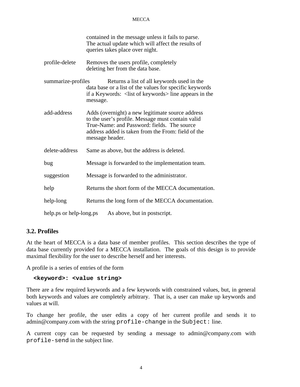|                                                         | contained in the message unless it fails to parse.<br>The actual update which will affect the results of<br>queries takes place over night.                                                                                   |  |
|---------------------------------------------------------|-------------------------------------------------------------------------------------------------------------------------------------------------------------------------------------------------------------------------------|--|
| profile-delete                                          | Removes the users profile, completely<br>deleting her from the data base.                                                                                                                                                     |  |
| summarize-profiles                                      | Returns a list of all keywords used in the<br>data base or a list of the values for specific keywords<br>if a Keywords: <list keywords="" of=""> line appears in the<br/>message.</list>                                      |  |
| add-address                                             | Adds (overnight) a new legitimate source address<br>to the user's profile. Message must contain valid<br>True-Name: and Password: fields. The source<br>address added is taken from the From: field of the<br>message header. |  |
| delete-address                                          | Same as above, but the address is deleted.                                                                                                                                                                                    |  |
| bug                                                     | Message is forwarded to the implementation team.                                                                                                                                                                              |  |
| suggestion                                              | Message is forwarded to the administrator.                                                                                                                                                                                    |  |
| help                                                    | Returns the short form of the MECCA documentation.                                                                                                                                                                            |  |
| help-long                                               | Returns the long form of the MECCA documentation.                                                                                                                                                                             |  |
| help.ps or help-long.ps<br>As above, but in postscript. |                                                                                                                                                                                                                               |  |

#### **3.2. Profiles**

At the heart of MECCA is a data base of member profiles. This section describes the type of data base currently provided for a MECCA installation. The goals of this design is to provide maximal flexibility for the user to describe herself and her interests.

A profile is a series of entries of the form

#### **<keyword>: <value string>**

There are a few required keywords and a few keywords with constrained values, but, in general both keywords and values are completely arbitrary. That is, a user can make up keywords and values at will.

To change her profile, the user edits a copy of her current profile and sends it to admin@company.com with the string profile-change in the Subject: line.

A current copy can be requested by sending a message to admin@company.com with profile-send in the subject line.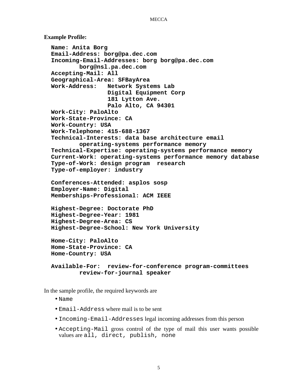```
Example Profile:
 Name: Anita Borg
  Email-Address: borg@pa.dec.com
  Incoming-Email-Addresses: borg borg@pa.dec.com
          borg@nsl.pa.dec.com
  Accepting-Mail: All
  Geographical-Area: SFBayArea
 Work-Address: Network Systems Lab
                  Digital Equipment Corp
                  181 Lytton Ave.
                  Palo Alto, CA 94301
 Work-City: PaloAlto
 Work-State-Province: CA
 Work-Country: USA
 Work-Telephone: 415-688-1367
  Technical-Interests: data base architecture email
          operating-systems performance memory
  Technical-Expertise: operating-systems performance memory
  Current-Work: operating-systems performance memory database
  Type-of-Work: design program research
 Type-of-employer: industry
  Conferences-Attended: asplos sosp
  Employer-Name: Digital
 Memberships-Professional: ACM IEEE
 Highest-Degree: Doctorate PhD
 Highest-Degree-Year: 1981
 Highest-Degree-Area: CS
 Highest-Degree-School: New York University
 Home-City: PaloAlto
 Home-State-Province: CA
```

```
Available-For: review-for-conference program-committees
        review-for-journal speaker
```
In the sample profile, the required keywords are

**Home-Country: USA**

- Name
- Email-Address where mail is to be sent
- Incoming-Email-Addresses legal incoming addresses from this person
- Accepting-Mail gross control of the type of mail this user wants possible values are all, direct, publish, none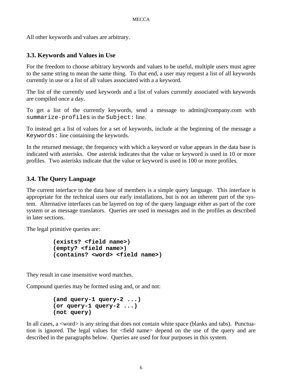All other keywords and values are arbitrary.

#### **3.3. Keywords and Values in Use**

For the freedom to choose arbitrary keywords and values to be useful, multiple users must agree to the same string to mean the same thing. To that end, a user may request a list of all keywords currently in use or a list of all values associated with a a keyword.

The list of the currently used keywords and a list of values currently associated with keywords are compiled once a day.

To get a list of the currently keywords, send a message to admin@company.com with summarize-profiles in the Subject: line.

To instead get a list of values for a set of keywords, include at the beginning of the message a Keywords: line containing the keywords.

In the returned message, the frequency with which a keyword or value appears in the data base is indicated with asterisks. One asterisk indicates that the value or keyword is used in 10 or more profiles. Two asterisks indicate that the value or keyword is used in 100 or more profiles.

#### **3.4. The Query Language**

The current interface to the data base of members is a simple query language. This interface is appropriate for the technical users our early installations, but is not an inherent part of the system. Alternative interfaces can be layered on top of the query language either as part of the core system or as message translators. Queries are used in messages and in the profiles as described in later sections.

The legal primitive queries are:

```
(exists? <field name>)
(empty? <field name>)
(contains? <word> <field name>)
```
They result in case insensitive word matches.

Compound queries may be formed using and, or and not:

```
(and query-1 query-2 ...)
(or query-1 query-2 ...)
(not query)
```
In all cases,  $a \leq w \text{ord} > i$  is any string that does not contain white space (blanks and tabs). Punctuation is ignored. The legal values for <field name> depend on the use of the query and are described in the paragraphs below. Queries are used for four purposes in this system.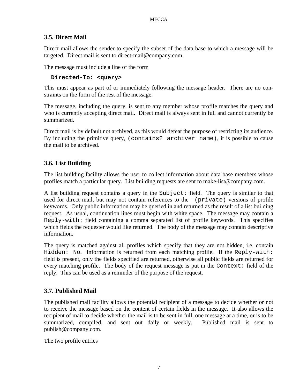#### **3.5. Direct Mail**

Direct mail allows the sender to specify the subset of the data base to which a message will be targeted. Direct mail is sent to direct-mail@company.com.

The message must include a line of the form

**Directed-To: <query>**

This must appear as part of or immediately following the message header. There are no constraints on the form of the rest of the message.

The message, including the query, is sent to any member whose profile matches the query and who is currently accepting direct mail. Direct mail is always sent in full and cannot currently be summarized.

Direct mail is by default not archived, as this would defeat the purpose of restricting its audience. By including the primitive query, (contains? archiver name), it is possible to cause the mail to be archived.

#### **3.6. List Building**

The list building facility allows the user to collect information about data base members whose profiles match a particular query. List building requests are sent to make-list@company.com.

A list building request contains a query in the Subject: field. The query is similar to that used for direct mail, but may not contain references to the -(private) versions of profile keywords. Only public information may be queried in and returned as the result of a list building request. As usual, continuation lines must begin with white space. The message may contain a Reply-with: field containing a comma separated list of profile keywords. This specifies which fields the requester would like returned. The body of the message may contain descriptive information.

The query is matched against all profiles which specify that they are not hidden, i.e, contain Hidden: No. Information is returned from each matching profile. If the Reply-with: field is present, only the fields specified are returned, otherwise all public fields are returned for every matching profile. The body of the request message is put in the Context: field of the reply. This can be used as a reminder of the purpose of the request.

#### **3.7. Published Mail**

The published mail facility allows the potential recipient of a message to decide whether or not to receive the message based on the content of certain fields in the message. It also allows the recipient of mail to decide whether the mail is to be sent in full, one message at a time, or is to be summarized, compiled, and sent out daily or weekly. Published mail is sent to publish@company.com.

The two profile entries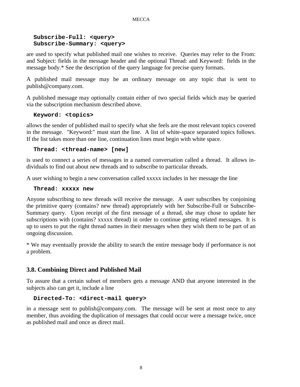#### **Subscribe-Full: <query> Subscribe-Summary: <query>**

are used to specify what published mail one wishes to receive. Queries may refer to the From: and Subject: fields in the message header and the optional Thread: and Keyword: fields in the message body.\* See the description of the query language for precise query formats.

A published mail message may be an ordinary message on any topic that is sent to publish@company.com.

A published message may optionally contain either of two special fields which may be queried via the subscription mechanism described above.

#### **Keyword: <topics>**

allows the sender of published mail to specify what she feels are the most relevant topics covered in the message. "Keyword:" must start the line. A list of white-space separated topics follows. If the list takes more than one line, continuation lines must begin with white space.

#### **Thread: <thread-name> [new]**

is used to connect a series of messages in a named conversation called a thread. It allows individuals to find out about new threads and to subscribe to particular threads.

A user wishing to begin a new conversation called xxxxx includes in her message the line

#### **Thread: xxxxx new**

Anyone subscribing to new threads will receive the message. A user subscribes by conjoining the primitive query (contains? new thread) appropriately with her Subscribe-Full or Subscribe-Summary query. Upon receipt of the first message of a thread, she may chose to update her subscriptions with (contains? xxxxx thread) in order to continue getting related messages. It is up to users to put the right thread names in their messages when they wish them to be part of an ongoing discussion.

\* We may eventually provide the ability to search the entire message body if performance is not a problem.

#### **3.8. Combining Direct and Published Mail**

To assure that a certain subset of members gets a message AND that anyone interested in the subjects also can get it, include a line

#### **Directed-To: <direct-mail query>**

in a message sent to publish@company.com. The message will be sent at most once to any member, thus avoiding the duplication of messages that could occur were a message twice, once as published mail and once as direct mail.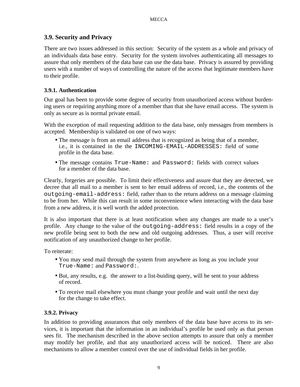#### **3.9. Security and Privacy**

There are two issues addressed in this section: Security of the system as a whole and privacy of an individuals data base entry. Security for the system involves authenticating all messages to assure that only members of the data base can use the data base. Privacy is assured by providing users with a number of ways of controlling the nature of the access that legitimate members have to their profile.

#### **3.9.1. Authentication**

Our goal has been to provide some degree of security from unauthorized access without burdening users or requiring anything more of a member than that she have email access. The system is only as secure as is normal private email.

With the exception of mail requesting addition to the data base, only messages from members is accepted. Membership is validated on one of two ways:

- The message is from an email address that is recognized as being that of a member, i.e., it is contained in the the INCOMING-EMAIL-ADDRESSES: field of some profile in the data base.
- The message contains True-Name: and Password: fields with correct values for a member of the data base.

Clearly, forgeries are possible. To limit their effectiveness and assure that they are detected, we decree that all mail to a member is sent to her email address of record, i.e., the contents of the outgoing-email-address: field, rather than to the return address on a message claiming to be from her. While this can result in some inconvenience when interacting with the data base from a new address, it is well worth the added protection.

It is also important that there is at least notification when any changes are made to a user's profile. Any change to the value of the outgoing-address: field results in a copy of the new profile being sent to both the new and old outgoing addresses. Thus, a user will receive notification of any unauthorized change to her profile.

To reiterate:

- You may send mail through the system from anywhere as long as you include your True-Name: and Password:.
- But, any results, e.g. the answer to a list-buiding query, will be sent to your address of record.
- To receive mail elsewhere you must change your profile and wait until the next day for the change to take effect.

#### **3.9.2. Privacy**

In addition to providing assurances that only members of the data base have access to its services, it is important that the information in an individual's profile be used only as that person sees fit. The mechanism described in the above section attempts to assure that only a member may modify her profile, and that any unauthorized access will be noticed. There are also mechanisms to allow a member control over the use of individual fields in her profile.